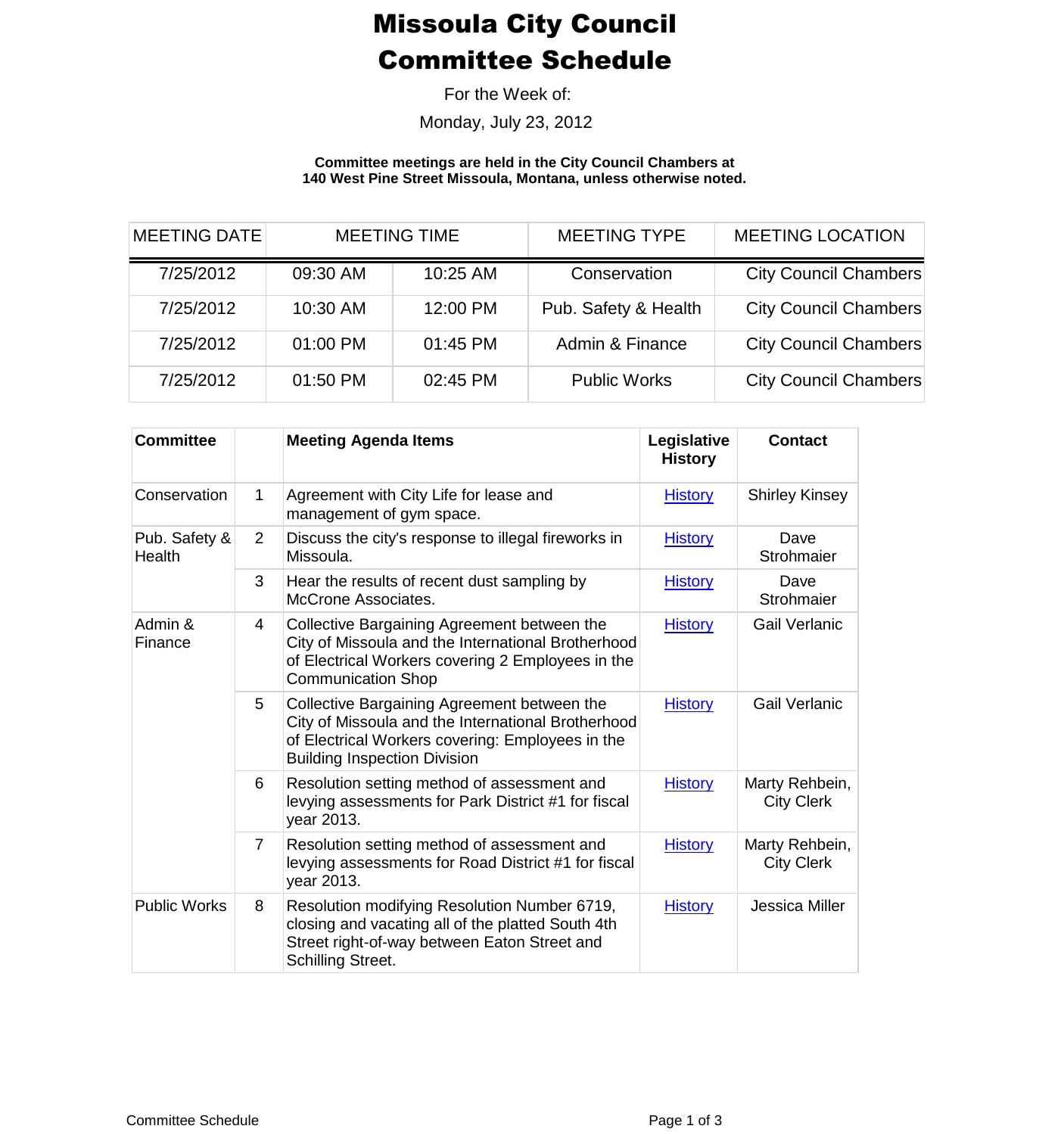## Missoula City Council Committee Schedule

For the Week of:

Monday, July 23, 2012

**Committee meetings are held in the City Council Chambers at 140 West Pine Street Missoula, Montana, unless otherwise noted.**

| <b>MEETING DATE</b> | <b>MEETING TIME</b> |          | <b>MEETING TYPE</b>  | <b>MEETING LOCATION</b>      |  |
|---------------------|---------------------|----------|----------------------|------------------------------|--|
| 7/25/2012           | 09:30 AM            | 10:25 AM | Conservation         | <b>City Council Chambers</b> |  |
| 7/25/2012           | 10:30 AM            | 12:00 PM | Pub. Safety & Health | <b>City Council Chambers</b> |  |
| 7/25/2012           | 01:00 PM            | 01:45 PM | Admin & Finance      | <b>City Council Chambers</b> |  |
| 7/25/2012           | 01:50 PM            | 02:45 PM | <b>Public Works</b>  | <b>City Council Chambers</b> |  |

| <b>Committee</b>        |                | <b>Meeting Agenda Items</b>                                                                                                                                                                  | Legislative<br><b>History</b> | <b>Contact</b>                      |
|-------------------------|----------------|----------------------------------------------------------------------------------------------------------------------------------------------------------------------------------------------|-------------------------------|-------------------------------------|
| Conservation            | 1              | Agreement with City Life for lease and<br>management of gym space.                                                                                                                           | <b>History</b>                | <b>Shirley Kinsey</b>               |
| Pub. Safety &<br>Health | $\overline{2}$ | Discuss the city's response to illegal fireworks in<br>Missoula.                                                                                                                             | <b>History</b>                | Dave<br>Strohmaier                  |
|                         | 3              | Hear the results of recent dust sampling by<br><b>McCrone Associates.</b>                                                                                                                    | <b>History</b>                | Dave<br>Strohmaier                  |
| Admin &<br>Finance      | 4              | Collective Bargaining Agreement between the<br>City of Missoula and the International Brotherhood<br>of Electrical Workers covering 2 Employees in the<br><b>Communication Shop</b>          | <b>History</b>                | <b>Gail Verlanic</b>                |
|                         | 5              | Collective Bargaining Agreement between the<br>City of Missoula and the International Brotherhood<br>of Electrical Workers covering: Employees in the<br><b>Building Inspection Division</b> | <b>History</b>                | <b>Gail Verlanic</b>                |
|                         | 6              | Resolution setting method of assessment and<br>levying assessments for Park District #1 for fiscal<br>year 2013.                                                                             | <b>History</b>                | Marty Rehbein,<br><b>City Clerk</b> |
|                         | $\overline{7}$ | Resolution setting method of assessment and<br>levying assessments for Road District #1 for fiscal<br>year 2013.                                                                             | <b>History</b>                | Marty Rehbein,<br><b>City Clerk</b> |
| <b>Public Works</b>     | 8              | Resolution modifying Resolution Number 6719,<br>closing and vacating all of the platted South 4th<br>Street right-of-way between Eaton Street and<br>Schilling Street.                       | <b>History</b>                | Jessica Miller                      |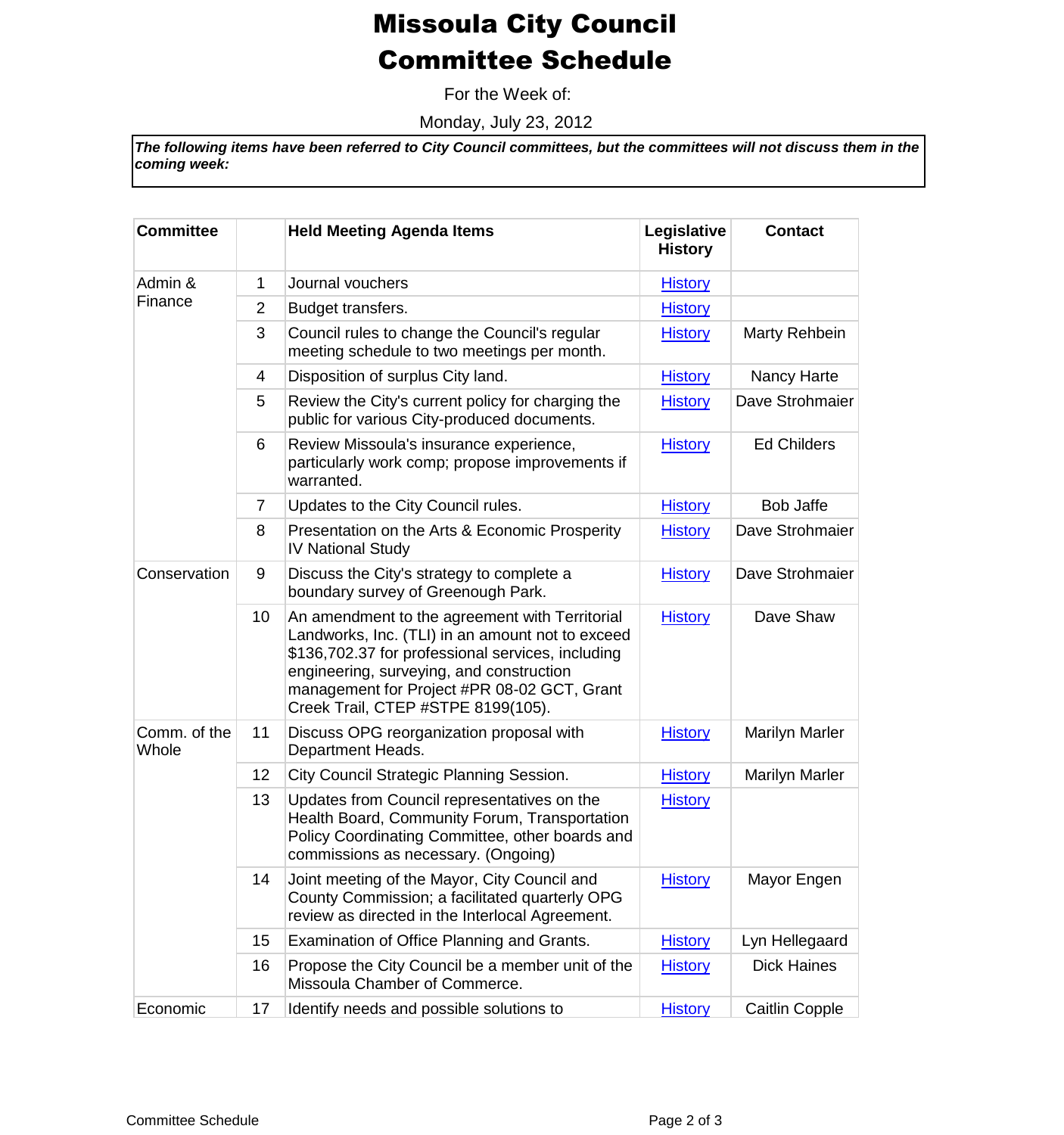## Missoula City Council Committee Schedule

For the Week of:

Monday, July 23, 2012

*The following items have been referred to City Council committees, but the committees will not discuss them in the coming week:*

| <b>Committee</b>      |                | <b>Held Meeting Agenda Items</b>                                                                                                                                                                                                                                                         | Legislative<br><b>History</b> | <b>Contact</b>        |
|-----------------------|----------------|------------------------------------------------------------------------------------------------------------------------------------------------------------------------------------------------------------------------------------------------------------------------------------------|-------------------------------|-----------------------|
| Admin &<br>Finance    | 1              | Journal vouchers                                                                                                                                                                                                                                                                         | <b>History</b>                |                       |
|                       | $\overline{2}$ | Budget transfers.                                                                                                                                                                                                                                                                        | <b>History</b>                |                       |
|                       | 3              | Council rules to change the Council's regular<br>meeting schedule to two meetings per month.                                                                                                                                                                                             | <b>History</b>                | Marty Rehbein         |
|                       | 4              | Disposition of surplus City land.                                                                                                                                                                                                                                                        | <b>History</b>                | Nancy Harte           |
|                       | 5              | Review the City's current policy for charging the<br>public for various City-produced documents.                                                                                                                                                                                         | <b>History</b>                | Dave Strohmaier       |
|                       | 6              | Review Missoula's insurance experience,<br>particularly work comp; propose improvements if<br>warranted.                                                                                                                                                                                 | <b>History</b>                | <b>Ed Childers</b>    |
|                       | $\overline{7}$ | Updates to the City Council rules.                                                                                                                                                                                                                                                       | <b>History</b>                | <b>Bob Jaffe</b>      |
|                       | 8              | Presentation on the Arts & Economic Prosperity<br><b>IV National Study</b>                                                                                                                                                                                                               | <b>History</b>                | Dave Strohmaier       |
| Conservation          | 9              | Discuss the City's strategy to complete a<br>boundary survey of Greenough Park.                                                                                                                                                                                                          | <b>History</b>                | Dave Strohmaier       |
|                       | 10             | An amendment to the agreement with Territorial<br>Landworks, Inc. (TLI) in an amount not to exceed<br>\$136,702.37 for professional services, including<br>engineering, surveying, and construction<br>management for Project #PR 08-02 GCT, Grant<br>Creek Trail, CTEP #STPE 8199(105). | <b>History</b>                | Dave Shaw             |
| Comm. of the<br>Whole | 11             | Discuss OPG reorganization proposal with<br>Department Heads.                                                                                                                                                                                                                            | <b>History</b>                | <b>Marilyn Marler</b> |
|                       | 12             | City Council Strategic Planning Session.                                                                                                                                                                                                                                                 | <b>History</b>                | <b>Marilyn Marler</b> |
|                       | 13             | Updates from Council representatives on the<br>Health Board, Community Forum, Transportation<br>Policy Coordinating Committee, other boards and<br>commissions as necessary. (Ongoing)                                                                                                   | <b>History</b>                |                       |
|                       | 14             | Joint meeting of the Mayor, City Council and<br>County Commission; a facilitated quarterly OPG<br>review as directed in the Interlocal Agreement.                                                                                                                                        | <b>History</b>                | Mayor Engen           |
|                       | 15             | Examination of Office Planning and Grants.                                                                                                                                                                                                                                               | <b>History</b>                | Lyn Hellegaard        |
|                       | 16             | Propose the City Council be a member unit of the<br>Missoula Chamber of Commerce.                                                                                                                                                                                                        | <b>History</b>                | <b>Dick Haines</b>    |
| Economic              | 17             | Identify needs and possible solutions to                                                                                                                                                                                                                                                 | <b>History</b>                | <b>Caitlin Copple</b> |